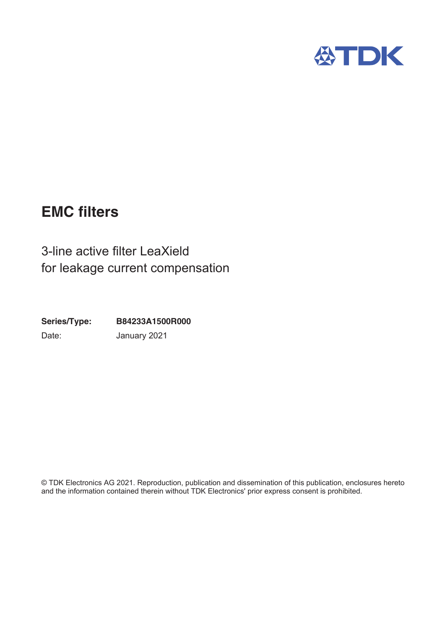

# **EMC filters**

3-line active filter LeaXield for leakage current compensation

B84233A1500R000 Series/Type: Date: January 2021

© TDK Electronics AG 2021. Reproduction, publication and dissemination of this publication, enclosures hereto and the information contained therein without TDK Electronics' prior express consent is prohibited.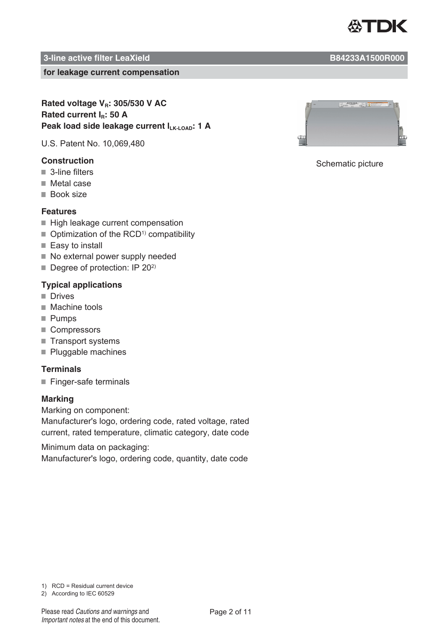

#### **for leakage current compensation**

## **Rated voltage V<sub>R</sub>: 305/530 V AC** Rated current I<sub>R</sub>: 50 A Peak load side leakage current I<sub>LK-LOAD</sub>: 1 A

U.S. Patent No. 10,069,480

- $\blacksquare$  3-line filters
- $\blacksquare$  Metal case
- Book size

## **Features**

- $\blacksquare$  High leakage current compensation
- $\blacksquare$  Optimization of the RCD<sup>1)</sup> compatibility
- $\blacksquare$  Easy to install
- $\blacksquare$  No external power supply needed
- $\blacksquare$  Degree of protection: IP 20<sup>2)</sup>

## **Typical applications**

- **I**I Drives
- $\blacksquare$  Machine tools
- $\blacksquare$  Pumps
- Compressors
- $\blacksquare$  Transport systems
- $\blacksquare$  Pluggable machines

#### **Terminals**

 $\blacksquare$  Finger-safe terminals

## **Marking**

Marking on component:

Manufacturer's logo, ordering code, rated voltage, rated current, rated temperature, climatic category, date code

Minimum data on packaging: Manufacturer's logo, ordering code, quantity, date code



## **Construction** 6FKHPDWLF Schematic picture

 $1)$  RCD = Residual current device

2) According to IEC 60529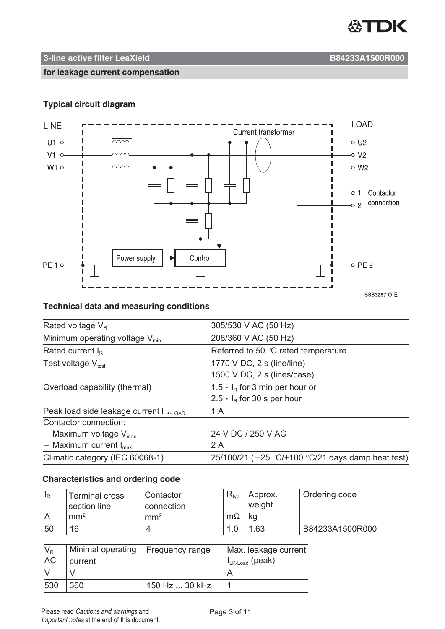

**for leakage current compensation**

## **Typical circuit diagram**



## **Technical data and measuring conditions**

| Rated voltage $V_R$                     | 305/530 V AC (50 Hz)                                 |
|-----------------------------------------|------------------------------------------------------|
| Minimum operating voltage $V_{min}$     | 208/360 V AC (50 Hz)                                 |
| Rated current $I_R$                     | Referred to 50 °C rated temperature                  |
| Test voltage $V_{test}$                 | 1770 V DC, 2 s (line/line)                           |
|                                         | 1500 V DC, 2 s (lines/case)                          |
| Overload capability (thermal)           | 1.5 $\cdot$ I <sub>R</sub> for 3 min per hour or     |
|                                         | $2.5 \cdot I_R$ for 30 s per hour                    |
| Peak load side leakage current lLK-LOAD | 1 A                                                  |
| Contactor connection:                   |                                                      |
| - Maximum voltage $V_{max}$             | 24 V DC / 250 V AC                                   |
| - Maximum current $I_{\text{max}}$      | 2 A                                                  |
| Climatic category (IEC 60068-1)         | 25/100/21 ( $-25$ °C/+100 °C/21 days damp heat test) |

## **Characteristics and ordering code**

| $I_R$     | <b>Terminal cross</b><br>section line | Contactor<br>connection | $R_{typ}$            | Approx.<br>weight                  | Ordering code   |
|-----------|---------------------------------------|-------------------------|----------------------|------------------------------------|-----------------|
| A         | mm <sup>2</sup>                       | mm <sup>2</sup>         | $m\Omega$            | kg                                 |                 |
| 50        | 16                                    | 4                       | 1.0                  | 1.63                               | B84233A1500R000 |
|           |                                       |                         |                      |                                    |                 |
| $V_R$     | Minimal operating                     | Frequency range         | Max. leakage current |                                    |                 |
| <b>AC</b> | current                               |                         |                      | $I_{LK\text{-}\text{Load}}$ (peak) |                 |
| $\vee$    |                                       |                         | A                    |                                    |                 |
| 530       | 360                                   | 150 Hz  30 kHz          |                      |                                    |                 |

Important notes at the end of this document.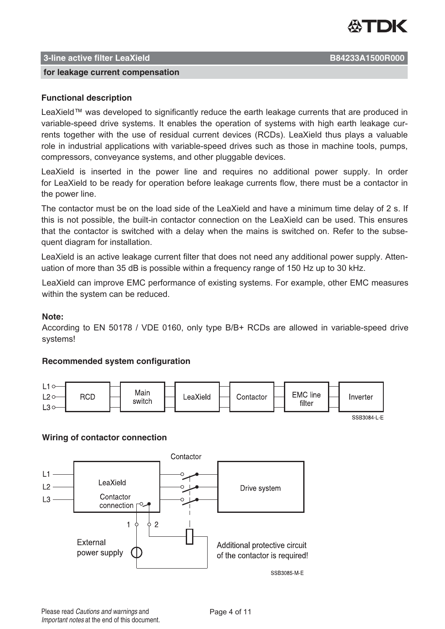

#### **for leakage current compensation**

## **Functional description**

LeaXield™ was developed to significantly reduce the earth leakage currents that are produced in variable-speed drive systems. It enables the operation of systems with high earth leakage currents together with the use of residual current devices (RCDs). LeaXield thus plays a valuable role in industrial applications with variable-speed drives such as those in machine tools, pumps, compressors, conveyance systems, and other pluggable devices.

LeaXield is inserted in the power line and requires no additional power supply. In order for LeaXield to be ready for operation before leakage currents flow, there must be a contactor in the power line.

The contactor must be on the load side of the LeaXield and have a minimum time delay of 2 s. If this is not possible, the built-in contactor connection on the LeaXield can be used. This ensures that the contactor is switched with a delay when the mains is switched on. Refer to the subsequent diagram for installation.

LeaXield is an active leakage current filter that does not need any additional power supply. Attenuation of more than 35 dB is possible within a frequency range of 150 Hz up to 30 kHz.

LeaXield can improve EMC performance of existing systems. For example, other EMC measures within the system can be reduced.

#### **Note:**

According to EN 50178 / VDE 0160, only type B/B+ RCDs are allowed in variable-speed drive systems!

## **Recommended system configuration**



SSB3084-L-E

#### **Wiring of contactor connection**

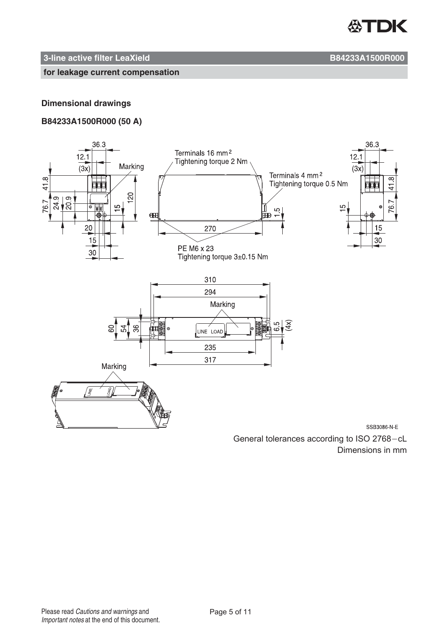

#### **for leakage current compensation**

## **Dimensional drawings**

## **B84233A1500R000 (50 A)**



Dimensions in mm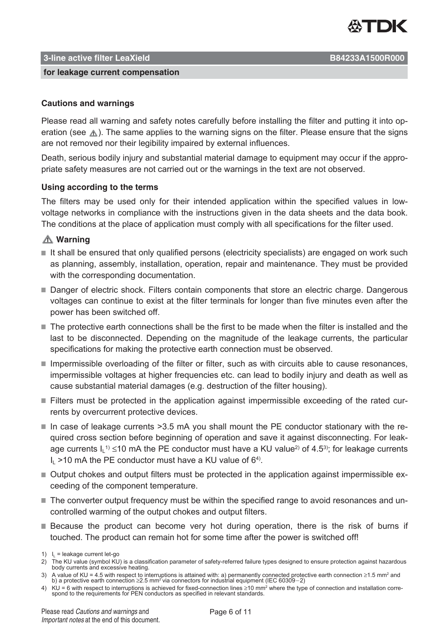

#### **for leakage current compensation**

## **Cautions and warnings**

Please read all warning and safety notes carefully before installing the filter and putting it into operation (see  $\triangle$ ). The same applies to the warning signs on the filter. Please ensure that the signs are not removed nor their legibility impaired by external influences.

Death, serious bodily injury and substantial material damage to equipment may occur if the appropriate safety measures are not carried out or the warnings in the text are not observed.

## **Using according to the terms**

The filters may be used only for their intended application within the specified values in lowvoltage networks in compliance with the instructions given in the data sheets and the data book. The conditions at the place of application must comply with all specifications for the filter used.

## **Warning**

- $\blacksquare$  It shall be ensured that only qualified persons (electricity specialists) are engaged on work such as planning, assembly, installation, operation, repair and maintenance. They must be provided with the corresponding documentation.
- " Danger of electric shock. Filters contain components that store an electric charge. Dangerous voltages can continue to exist at the filter terminals for longer than five minutes even after the power has been switched off.
- The protective earth connections shall be the first to be made when the filter is installed and the last to be disconnected. Depending on the magnitude of the leakage currents, the particular specifications for making the protective earth connection must be observed.
- $\blacksquare$  Impermissible overloading of the filter or filter, such as with circuits able to cause resonances, impermissible voltages at higher frequencies etc. can lead to bodily injury and death as well as cause substantial material damages (e.g. destruction of the filter housing).
- $\blacksquare$  Filters must be protected in the application against impermissible exceeding of the rated currents by overcurrent protective devices.
- $\blacksquare$  In case of leakage currents >3.5 mA you shall mount the PE conductor stationary with the required cross section before beginning of operation and save it against disconnecting. For leakage currents l $\mathsf{L}^{1)}$  ≤10 mA the PE conductor must have a KU value<sup>2)</sup> of 4.5<sup>3)</sup>; for leakage currents  $I_1$  >10 mA the PE conductor must have a KU value of 6<sup>4)</sup>.
- Output chokes and output filters must be protected in the application against impermissible exceeding of the component temperature.
- The converter output frequency must be within the specified range to avoid resonances and uncontrolled warming of the output chokes and output filters.
- **Because the product can become very hot during operation, there is the risk of burns if** touched. The product can remain hot for some time after the power is switched off!

- 3) A value of KU = 4.5 with respect to interruptions is attained with: a) permanently connected protective earth connection ≥2.5 mm² via connectors for industrial equipment (IEC 60309−2)<br>b) a protective earth connection
- 4) KU = 6 with respect to interruptions is achieved for fixed-connection lines ≥10 mm<sup>2</sup> where the type of connection and installation correspond to the requirements for PEN conductors as specified in relevant standards.

<sup>1)</sup>  $I_L$  = leakage current let-go

<sup>2)</sup> The KU value (symbol KU) is a classification parameter of safety-referred failure types designed to ensure protection against hazardous<br>body currents and excessive heating.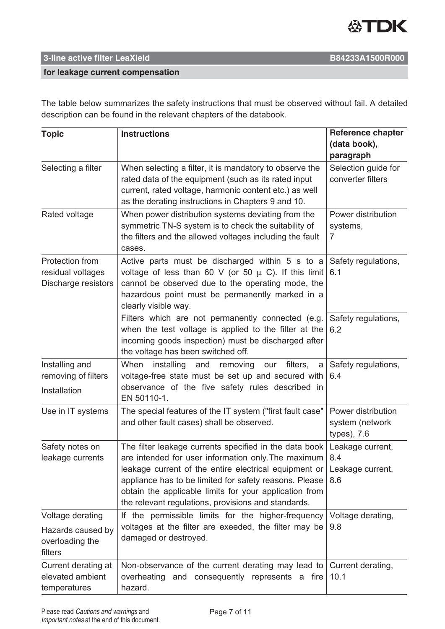

## **for leakage current compensation**

The table below summarizes the safety instructions that must be observed without fail. A detailed description can be found in the relevant chapters of the databook.

| <b>Topic</b>                                                | <b>Instructions</b>                                                                                                                                                                                                                                                                                                                               | <b>Reference chapter</b><br>(data book),<br>paragraph |
|-------------------------------------------------------------|---------------------------------------------------------------------------------------------------------------------------------------------------------------------------------------------------------------------------------------------------------------------------------------------------------------------------------------------------|-------------------------------------------------------|
| Selecting a filter                                          | When selecting a filter, it is mandatory to observe the<br>rated data of the equipment (such as its rated input<br>current, rated voltage, harmonic content etc.) as well<br>as the derating instructions in Chapters 9 and 10.                                                                                                                   | Selection guide for<br>converter filters              |
| Rated voltage                                               | When power distribution systems deviating from the<br>symmetric TN-S system is to check the suitability of<br>the filters and the allowed voltages including the fault<br>cases.                                                                                                                                                                  | Power distribution<br>systems,<br>7                   |
| Protection from<br>residual voltages<br>Discharge resistors | Active parts must be discharged within 5 s to a<br>voltage of less than 60 V (or 50 $\mu$ C). If this limit<br>cannot be observed due to the operating mode, the<br>hazardous point must be permanently marked in a<br>clearly visible way.                                                                                                       | Safety regulations,<br>6.1                            |
|                                                             | Filters which are not permanently connected (e.g.<br>when the test voltage is applied to the filter at the<br>incoming goods inspection) must be discharged after<br>the voltage has been switched off.                                                                                                                                           | Safety regulations,<br>6.2                            |
| Installing and<br>removing of filters<br>Installation       | When<br>installing<br>and<br>removing<br>filters,<br>our<br>a<br>voltage-free state must be set up and secured with<br>observance of the five safety rules described in<br>EN 50110-1.                                                                                                                                                            | Safety regulations,<br>6.4                            |
| Use in IT systems                                           | The special features of the IT system ("first fault case"<br>and other fault cases) shall be observed.                                                                                                                                                                                                                                            | Power distribution<br>system (network<br>types), 7.6  |
| Safety notes on<br>leakage currents                         | The filter leakage currents specified in the data book<br>are intended for user information only. The maximum<br>leakage current of the entire electrical equipment or<br>appliance has to be limited for safety reasons. Please<br>obtain the applicable limits for your application from<br>the relevant regulations, provisions and standards. | Leakage current,<br>8.4<br>Leakage current,<br>8.6    |
| Voltage derating                                            | If the permissible limits for the higher-frequency                                                                                                                                                                                                                                                                                                | Voltage derating,                                     |
| Hazards caused by<br>overloading the<br>filters             | voltages at the filter are exeeded, the filter may be<br>damaged or destroyed.                                                                                                                                                                                                                                                                    | 9.8                                                   |
| Current derating at<br>elevated ambient<br>temperatures     | Non-observance of the current derating may lead to<br>overheating and consequently represents a fire<br>hazard.                                                                                                                                                                                                                                   | Current derating,<br>10.1                             |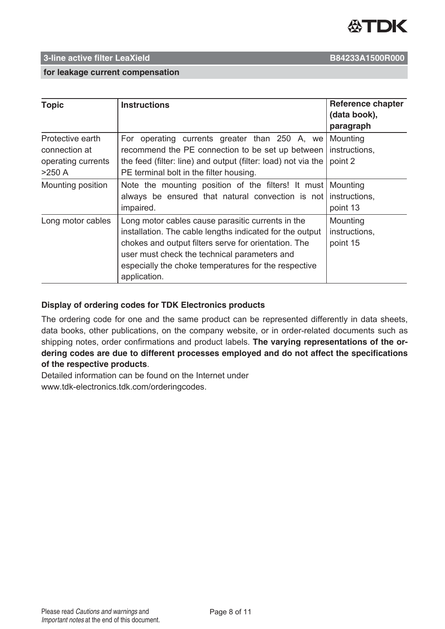

## 3-line active filter LeaXield

B84233A1500R000

#### for leakage current compensation

| <b>Topic</b>                                                        | <b>Instructions</b>                                                                                                                                                                                                                                                                           | <b>Reference chapter</b><br>(data book),<br>paragraph |
|---------------------------------------------------------------------|-----------------------------------------------------------------------------------------------------------------------------------------------------------------------------------------------------------------------------------------------------------------------------------------------|-------------------------------------------------------|
| Protective earth<br>connection at<br>operating currents<br>$>250$ A | For operating currents greater than 250 A, we<br>recommend the PE connection to be set up between<br>the feed (filter: line) and output (filter: load) not via the<br>PE terminal bolt in the filter housing.                                                                                 | Mounting<br>instructions,<br>point 2                  |
| Mounting position                                                   | Note the mounting position of the filters! It must   Mounting<br>always be ensured that natural convection is not<br>impaired.                                                                                                                                                                | instructions,<br>point 13                             |
| Long motor cables                                                   | Long motor cables cause parasitic currents in the<br>installation. The cable lengths indicated for the output<br>chokes and output filters serve for orientation. The<br>user must check the technical parameters and<br>especially the choke temperatures for the respective<br>application. | Mounting<br>instructions,<br>point 15                 |

## Display of ordering codes for TDK Electronics products

The ordering code for one and the same product can be represented differently in data sheets, data books, other publications, on the company website, or in order-related documents such as shipping notes, order confirmations and product labels. The varying representations of the ordering codes are due to different processes employed and do not affect the specifications of the respective products.

Detailed information can be found on the Internet under www.tdk-electronics.tdk.com/orderingcodes.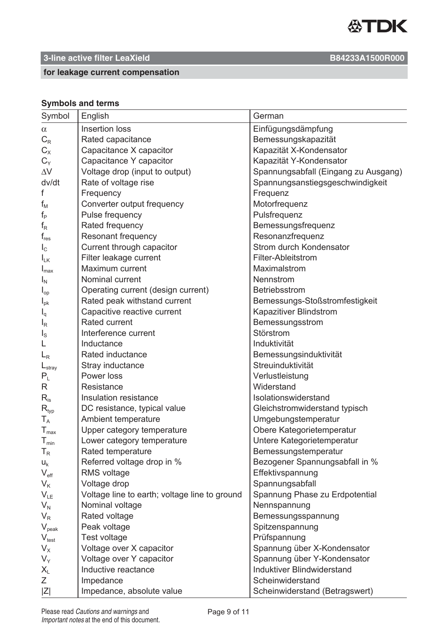

## 3-line active filter LeaXield

## for leakage current compensation

## **Symbols and terms**

| Symbol                      | English                                       | German                               |
|-----------------------------|-----------------------------------------------|--------------------------------------|
| $\alpha$                    | Insertion loss                                | Einfügungsdämpfung                   |
| $C_R$                       | Rated capacitance                             | Bemessungskapazität                  |
| $C_{X}$                     | Capacitance X capacitor                       | Kapazität X-Kondensator              |
| $C_{Y}$                     | Capacitance Y capacitor                       | Kapazität Y-Kondensator              |
| $\Delta V$                  | Voltage drop (input to output)                | Spannungsabfall (Eingang zu Ausgang) |
| dv/dt                       | Rate of voltage rise                          | Spannungsanstiegsgeschwindigkeit     |
| f                           | Frequency                                     | Frequenz                             |
| $f_{\rm M}$                 | Converter output frequency                    | Motorfrequenz                        |
| $f_{\mathsf{P}}$            | Pulse frequency                               | Pulsfrequenz                         |
| $f_R$                       | Rated frequency                               | Bemessungsfrequenz                   |
| $\mathsf{f}_{\mathsf{res}}$ | <b>Resonant frequency</b>                     | Resonanzfrequenz                     |
| $I_{\rm C}$                 | Current through capacitor                     | Strom durch Kondensator              |
| $I_{LK}$                    | Filter leakage current                        | Filter-Ableitstrom                   |
| $I_{\text{max}}$            | Maximum current                               | Maximalstrom                         |
| $I_N$                       | Nominal current                               | Nennstrom                            |
| $I_{op}$                    | Operating current (design current)            | Betriebsstrom                        |
| $I_{\rm pk}$                | Rated peak withstand current                  | Bemessungs-Stoßstromfestigkeit       |
| $I_q$                       | Capacitive reactive current                   | Kapazitiver Blindstrom               |
| $I_R$                       | <b>Rated current</b>                          | Bemessungsstrom                      |
| $I_{\rm S}$                 | Interference current                          | Störstrom                            |
|                             | Inductance                                    | Induktivität                         |
| $L_{R}$                     | <b>Rated inductance</b>                       | Bemessungsinduktivität               |
| $L_{\text{stray}}$          | Stray inductance                              | Streuinduktivität                    |
| $P_L$                       | Power loss                                    | Verlustleistung                      |
| R                           | Resistance                                    | Widerstand                           |
| $R_{is}$                    | Insulation resistance                         | Isolationswiderstand                 |
| $\mathsf{R}_{\mathsf{typ}}$ | DC resistance, typical value                  | Gleichstromwiderstand typisch        |
| $T_A$                       | Ambient temperature                           | Umgebungstemperatur                  |
| $T_{\text{max}}$            | Upper category temperature                    | Obere Kategorietemperatur            |
| $\mathsf{T}_{\mathsf{min}}$ | Lower category temperature                    | Untere Kategorietemperatur           |
| $T_R$                       | Rated temperature                             | Bemessungstemperatur                 |
| $U_{k}$                     | Referred voltage drop in %                    | Bezogener Spannungsabfall in %       |
| $V_{\text{eff}}$            | <b>RMS</b> voltage                            | Effektivspannung                     |
| $V_{K}$                     | Voltage drop                                  | Spannungsabfall                      |
| $V_{LE}$                    | Voltage line to earth; voltage line to ground | Spannung Phase zu Erdpotential       |
| $V_{N}$                     | Nominal voltage                               | Nennspannung                         |
| $V_{R}$                     | Rated voltage                                 | Bemessungsspannung                   |
| $V_{\text{peak}}$           | Peak voltage                                  | Spitzenspannung                      |
| $V_{\text{test}}$           | Test voltage                                  | Prüfspannung                         |
| $V_{\rm X}$                 | Voltage over X capacitor                      | Spannung über X-Kondensator          |
| $V_Y$                       | Voltage over Y capacitor                      | Spannung über Y-Kondensator          |
| $X_{L}$                     | Inductive reactance                           | Induktiver Blindwiderstand           |
| Z                           | Impedance                                     | Scheinwiderstand                     |
| Z                           | Impedance, absolute value                     | Scheinwiderstand (Betragswert)       |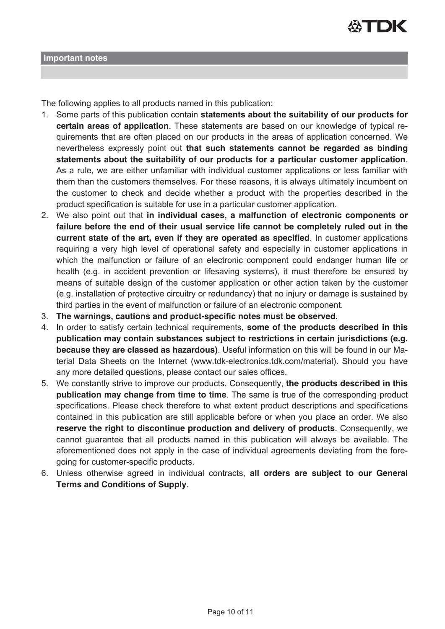

The following applies to all products named in this publication:

- 1. Some parts of this publication contain **statements about the suitability of our products for certain areas of application**. These statements are based on our knowledge of typical requirements that are often placed on our products in the areas of application concerned. We nevertheless expressly point out **that such statements cannot be regarded as binding statements about the suitability of our products for a particular customer application** As a rule, we are either unfamiliar with individual customer applications or less familiar with them than the customers themselves. For these reasons, it is always ultimately incumbent on the customer to check and decide whether a product with the properties described in the product specification is suitable for use in a particular customer application.
- 2. We also point out that in individual cases, a malfunction of electronic components or **failure before the end of their usual service life cannot be completely ruled out in the current state of the art, even if they are operated as specified**. In customer applications requiring a very high level of operational safety and especially in customer applications in which the malfunction or failure of an electronic component could endanger human life or health (e.g. in accident prevention or lifesaving systems), it must therefore be ensured by means of suitable design of the customer application or other action taken by the customer (e.g. installation of protective circuitry or redundancy) that no injury or damage is sustained by third parties in the event of malfunction or failure of an electronic component.
- **The warnings, cautions and product-specific notes must be observed.**
- 4. In order to satisfy certain technical requirements, some of the products described in this **publication may contain substances subject to restrictions in certain jurisdictions (e.g. because they are classed as hazardous)**. Useful information on this will be found in our Material Data Sheets on the Internet (www.tdk-electronics.tdk.com/material). Should you have any more detailed questions, please contact our sales offices.
- 5. We constantly strive to improve our products. Consequently, the products described in this publication may change from time to time. The same is true of the corresponding product specifications. Please check therefore to what extent product descriptions and specifications contained in this publication are still applicable before or when you place an order. We also reserve the right to discontinue production and delivery of products. Consequently, we cannot quarantee that all products named in this publication will always be available. The aforementioned does not apply in the case of individual agreements deviating from the foregoing for customer-specific products.
- 6. Unless otherwise agreed in individual contracts, all orders are subject to our General **Terms and Conditions of Supply**